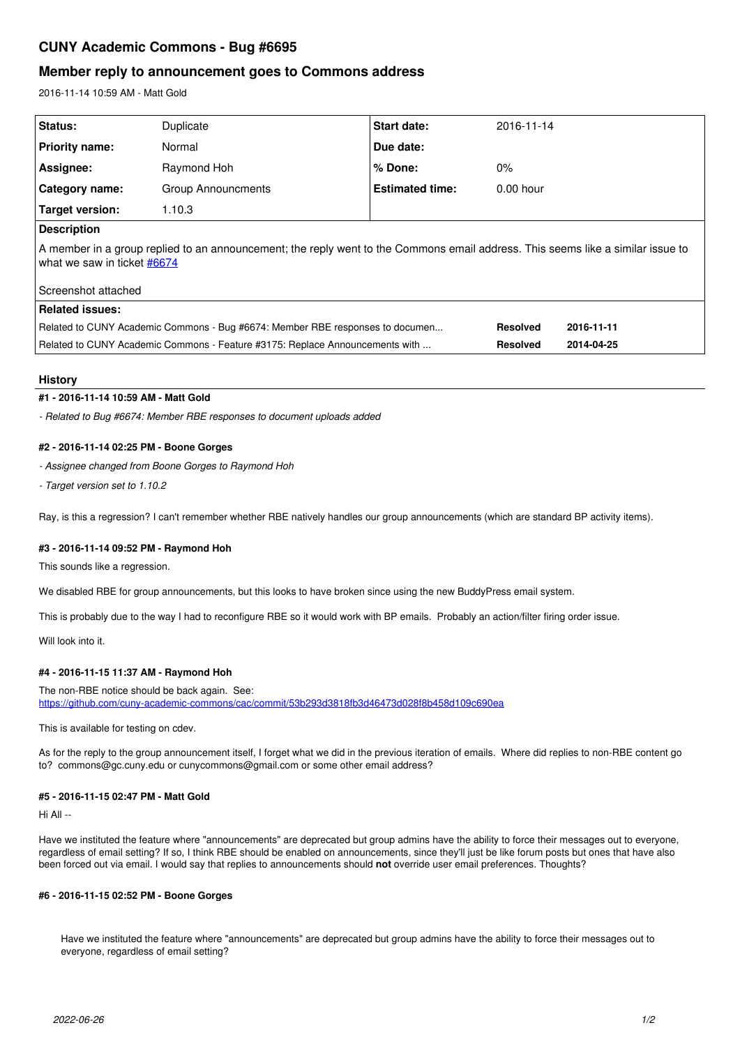# **CUNY Academic Commons - Bug #6695**

# **Member reply to announcement goes to Commons address**

2016-11-14 10:59 AM - Matt Gold

| <b>Status:</b>                                                                                                                                                 | Duplicate          | <b>Start date:</b>     | 2016-11-14      |            |
|----------------------------------------------------------------------------------------------------------------------------------------------------------------|--------------------|------------------------|-----------------|------------|
| <b>Priority name:</b>                                                                                                                                          | Normal             | Due date:              |                 |            |
| Assignee:                                                                                                                                                      | Raymond Hoh        | % Done:                | $0\%$           |            |
| <b>Category name:</b>                                                                                                                                          | Group Announcments | <b>Estimated time:</b> | $0.00$ hour     |            |
| Target version:                                                                                                                                                | 1.10.3             |                        |                 |            |
| <b>Description</b>                                                                                                                                             |                    |                        |                 |            |
| A member in a group replied to an announcement; the reply went to the Commons email address. This seems like a similar issue to<br>what we saw in ticket #6674 |                    |                        |                 |            |
| Screenshot attached                                                                                                                                            |                    |                        |                 |            |
| <b>Related issues:</b>                                                                                                                                         |                    |                        |                 |            |
| Related to CUNY Academic Commons - Bug #6674: Member RBE responses to documen                                                                                  |                    |                        | <b>Resolved</b> | 2016-11-11 |
| Related to CUNY Academic Commons - Feature #3175: Replace Announcements with                                                                                   |                    |                        | <b>Resolved</b> | 2014-04-25 |

# **History**

# **#1 - 2016-11-14 10:59 AM - Matt Gold**

*- Related to Bug #6674: Member RBE responses to document uploads added*

# **#2 - 2016-11-14 02:25 PM - Boone Gorges**

*- Assignee changed from Boone Gorges to Raymond Hoh*

*- Target version set to 1.10.2*

Ray, is this a regression? I can't remember whether RBE natively handles our group announcements (which are standard BP activity items).

#### **#3 - 2016-11-14 09:52 PM - Raymond Hoh**

This sounds like a regression.

We disabled RBE for group announcements, but this looks to have broken since using the new BuddyPress email system.

This is probably due to the way I had to reconfigure RBE so it would work with BP emails. Probably an action/filter firing order issue.

Will look into it.

# **#4 - 2016-11-15 11:37 AM - Raymond Hoh**

The non-RBE notice should be back again. See: <https://github.com/cuny-academic-commons/cac/commit/53b293d3818fb3d46473d028f8b458d109c690ea>

This is available for testing on cdev.

As for the reply to the group announcement itself, I forget what we did in the previous iteration of emails. Where did replies to non-RBE content go to? commons@gc.cuny.edu or cunycommons@gmail.com or some other email address?

# **#5 - 2016-11-15 02:47 PM - Matt Gold**

Hi All --

Have we instituted the feature where "announcements" are deprecated but group admins have the ability to force their messages out to everyone, regardless of email setting? If so, I think RBE should be enabled on announcements, since they'll just be like forum posts but ones that have also been forced out via email. I would say that replies to announcements should **not** override user email preferences. Thoughts?

#### **#6 - 2016-11-15 02:52 PM - Boone Gorges**

Have we instituted the feature where "announcements" are deprecated but group admins have the ability to force their messages out to everyone, regardless of email setting?